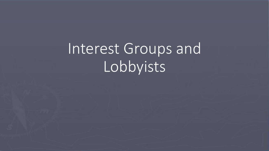Interest Groups and Lobbyists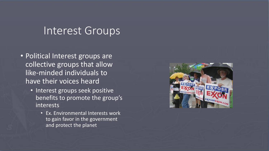## Interest Groups

- Political Interest groups are collective groups that allow like-minded individuals to have their voices heard
	- Interest groups seek positive benefits to promote the group's interests
		- Ex. Environmental Interests work to gain favor in the government and protect the planet

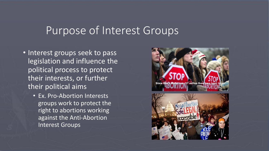### Purpose of Interest Groups

- Interest groups seek to pass legislation and influence the political process to protect their interests, or further their political aims
	- Ex. Pro-Abortion Interests groups work to protect the right to abortions working against the Anti-Abortion Interest Groups

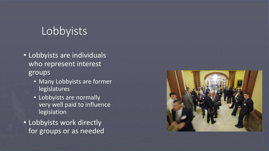# Lobbyists

- Lobbyists are individuals who represent interest groups
	- Many Lobbyists are former legislatures
	- Lobbyists are normally very well paid to influence legislation
- Lobbyists work directly for groups or as needed

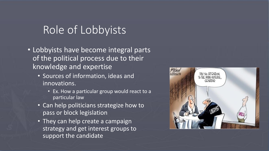# Role of Lobbyists

- Lobbyists have become integral parts of the political process due to their knowledge and expertise
	- Sources of information, ideas and innovations.
		- Ex. How a particular group would react to a particular law
	- Can help politicians strategize how to pass or block legislation
	- They can help create a campaign strategy and get interest groups to support the candidate

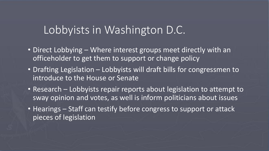### Lobbyists in Washington D.C.

- Direct Lobbying Where interest groups meet directly with an officeholder to get them to support or change policy
- Drafting Legislation Lobbyists will draft bills for congressmen to introduce to the House or Senate
- Research Lobbyists repair reports about legislation to attempt to sway opinion and votes, as well is inform politicians about issues
- Hearings Staff can testify before congress to support or attack pieces of legislation